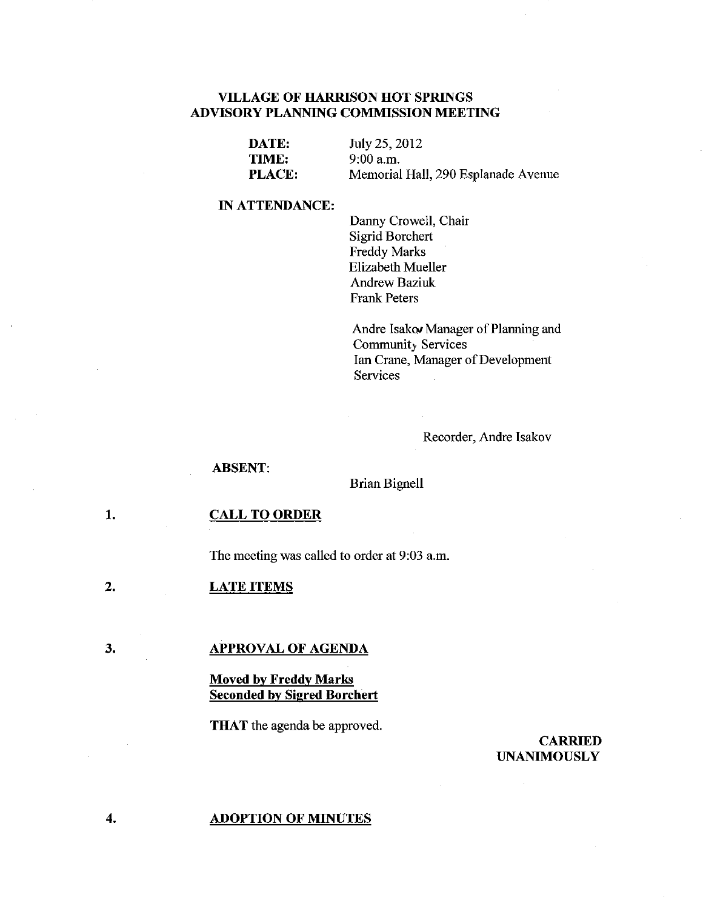## **VILLAGE OF HARRISON HOT SPRINGS ADVISORY PLANNING COMMISSION MEETING**

| DATE:         | July 25, 2012                       |
|---------------|-------------------------------------|
| TIME:         | $9:00$ a.m.                         |
| <b>PLACE:</b> | Memorial Hall, 290 Esplanade Avenue |

## **IN ATTENDANCE:**

Danny Crowell, Chair Sigrid Borchert Freddy Marks Elizabeth Mueller Andrew Baziuk Frank Peters

Andre Isakw Manager of Planning and Community Services Ian Crane, Manager of Development Services

Recorder, Andre Isakov

### **ABSENT:**

### Brian Bignell

#### **1. CALL TO ORDER**

The meeting was called to order at 9:03 a.m.

2. **LATE ITEMS** 

### **APPROVAL OF AGENDA**

## **Moved by Freddy Marks Seconded by Sigred Borchert**

**THAT** the agenda be approved.

## **CARRIED UNANIMOUSLY**

#### **ADOPTION OF MINUTES**

**4.** 

3.